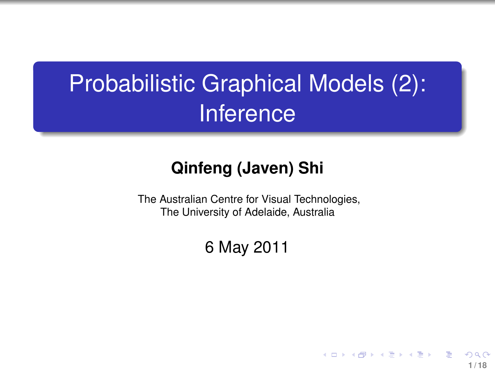# Probabilistic Graphical Models (2): **Inference**

#### **Qinfeng (Javen) Shi**

The Australian Centre for Visual Technologies, The University of Adelaide, Australia

6 May 2011

**1 / 18**

イロト イ押 トイヨ トイヨト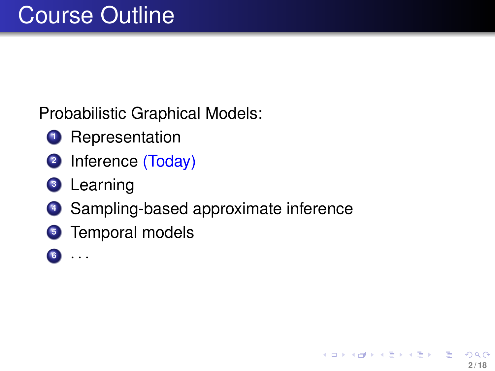Probabilistic Graphical Models:

- **<sup>1</sup>** Representation
- **<sup>2</sup>** Inference (Today)
- **<sup>3</sup>** Learning
- **<sup>4</sup>** Sampling-based approximate inference
- **<sup>5</sup>** Temporal models
- **<sup>6</sup>** · · ·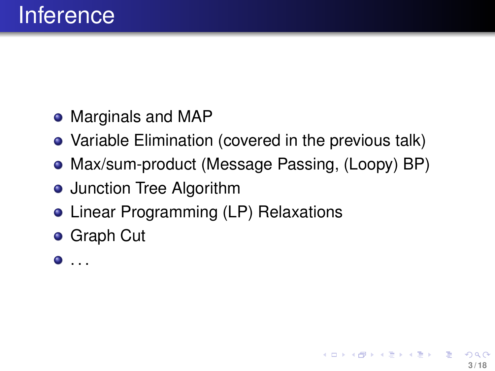- Marginals and MAP
- Variable Elimination (covered in the previous talk)
- Max/sum-product (Message Passing, (Loopy) BP)
- **•** Junction Tree Algorithm
- Linear Programming (LP) Relaxations
- **•** Graph Cut
- $\bullet$  . . .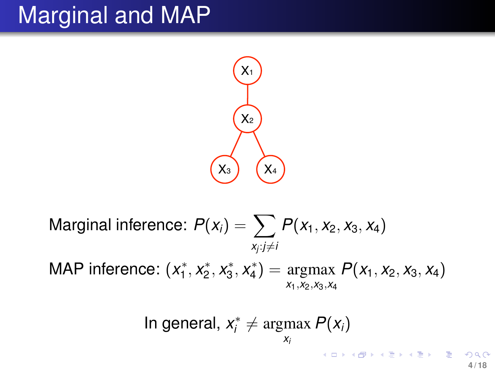# Marginal and MAP



Marginal inference: 
$$
P(x_i) = \sum_{x_i : j \neq i} P(x_1, x_2, x_3, x_4)
$$
  
MAP inference:  $(x_1^*, x_2^*, x_3^*, x_4^*) = \underset{x_1, x_2, x_3, x_4}{\text{argmax}} P(x_1, x_2, x_3, x_4)$ 

In general, 
$$
x_i^* \neq \underset{x_i}{\text{argmax }} P(x_i)
$$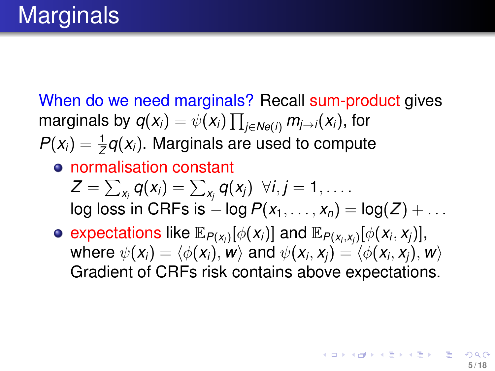When do we need marginals? Recall sum-product gives marginals by  $q(x_i) = \psi(x_i) \prod_{j \in \mathsf{Ne}(i)} m_{j \rightarrow i}(x_i)$ , for  $P(x_i) = \frac{1}{Z}q(x_i)$ . Marginals are used to compute

#### normalisation constant

$$
Z = \sum_{x_i} q(x_i) = \sum_{x_j} q(x_j) \quad \forall i, j = 1, \dots
$$
  
log loss in CRFs is  $-\log P(x_1, \dots, x_n) = \log(Z) + \dots$ 

 $\exp$ expectations like  $\mathbb{E}_{P(x_i)}[\phi(x_i)]$  and  $\mathbb{E}_{P(x_i, x_j)}[\phi(x_i, x_j)],$ where  $\psi(x_i) = \langle \phi(x_i), \pmb{w} \rangle$  and  $\psi(x_i, x_j) = \langle \phi(x_i, x_j), \pmb{w} \rangle$ Gradient of CRFs risk contains above expectations.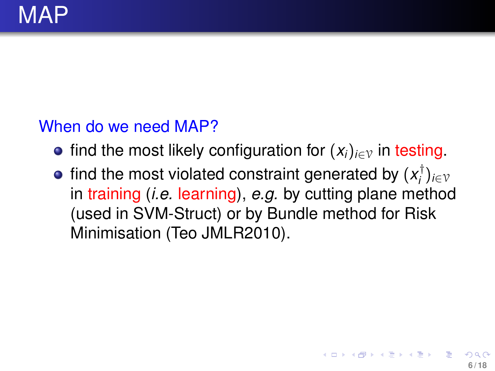#### When do we need MAP?

- **•** find the most likely configuration for  $(x_i)_{i \in \mathcal{V}}$  in testing.
- find the most violated constraint generated by  $(x_i^{\dagger})$ *i* )*i*∈<sup>V</sup> in training (*i.e.* learning), *e.g.* by cutting plane method (used in SVM-Struct) or by Bundle method for Risk Minimisation (Teo JMLR2010).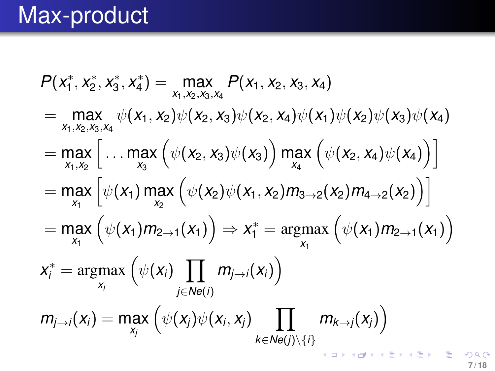# Max-product

$$
P(x_1^*, x_2^*, x_3^*, x_4^*) = \max_{x_1, x_2, x_3, x_4} P(x_1, x_2, x_3, x_4)
$$
  
\n
$$
= \max_{x_1, x_2, x_3, x_4} \psi(x_1, x_2) \psi(x_2, x_3) \psi(x_2, x_4) \psi(x_1) \psi(x_2) \psi(x_3) \psi(x_4)
$$
  
\n
$$
= \max_{x_1, x_2} \left[ \dots \max_{x_3} \left( \psi(x_2, x_3) \psi(x_3) \right) \max_{x_4} \left( \psi(x_2, x_4) \psi(x_4) \right) \right]
$$
  
\n
$$
= \max_{x_1} \left[ \psi(x_1) \max_{x_2} \left( \psi(x_2) \psi(x_1, x_2) m_{3\rightarrow 2}(x_2) m_{4\rightarrow 2}(x_2) \right) \right]
$$
  
\n
$$
= \max_{x_1} \left( \psi(x_1) m_{2\rightarrow 1}(x_1) \right) \Rightarrow x_1^* = \operatorname{argmax}_{x_1} \left( \psi(x_1) m_{2\rightarrow 1}(x_1) \right)
$$
  
\n
$$
x_i^* = \operatorname{argmax}_{x_i} \left( \psi(x_i) \prod_{j \in Ne(i)} m_{j\rightarrow i}(x_i) \right)
$$
  
\n
$$
m_{j\rightarrow i}(x_i) = \max_{x_j} \left( \psi(x_j) \psi(x_i, x_j) \prod_{k \in Ne(j) \setminus \{i\}} m_{k\rightarrow j}(x_j) \right)
$$

 $299$ **7 / 18**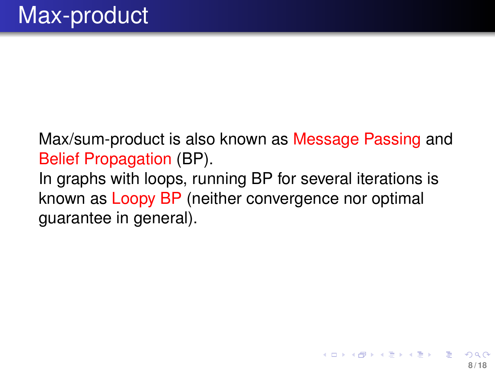Max/sum-product is also known as Message Passing and Belief Propagation (BP). In graphs with loops, running BP for several iterations is known as Loopy BP (neither convergence nor optimal guarantee in general).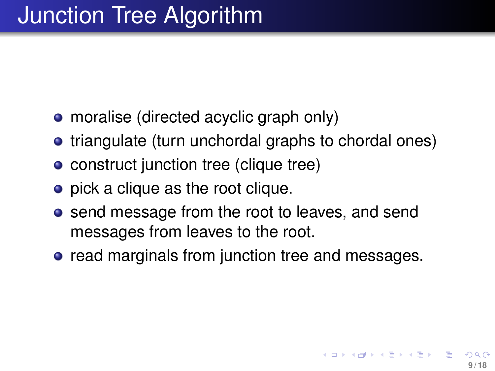- moralise (directed acyclic graph only)
- triangulate (turn unchordal graphs to chordal ones)
- construct junction tree (clique tree)
- pick a clique as the root clique.
- send message from the root to leaves, and send messages from leaves to the root.
- **•** read marginals from junction tree and messages.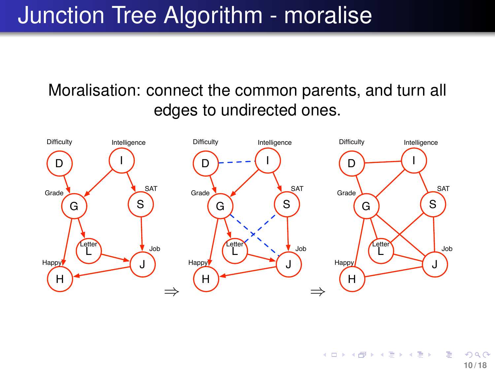## Junction Tree Algorithm - moralise

#### Moralisation: connect the common parents, and turn all edges to undirected ones.



**K ロ ▶ K 伺 ▶ K ヨ ▶ K ヨ ▶**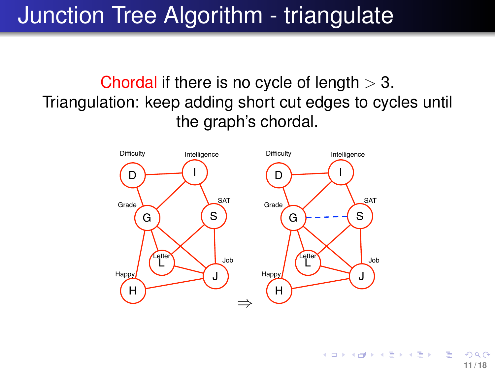# Junction Tree Algorithm - triangulate

Chordal if there is no cycle of length  $> 3$ . Triangulation: keep adding short cut edges to cycles until the graph's chordal.

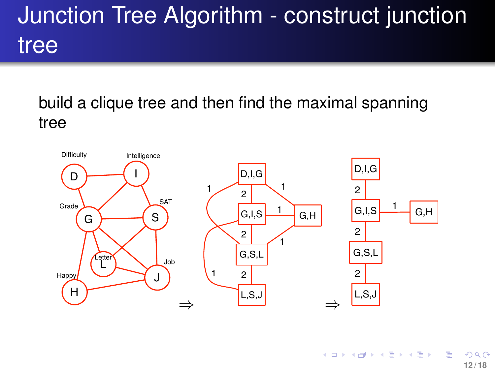# Junction Tree Algorithm - construct junction tree

build a clique tree and then find the maximal spanning tree



 $($  ロ )  $($  何 )  $($  ヨ )  $($  ヨ  $)$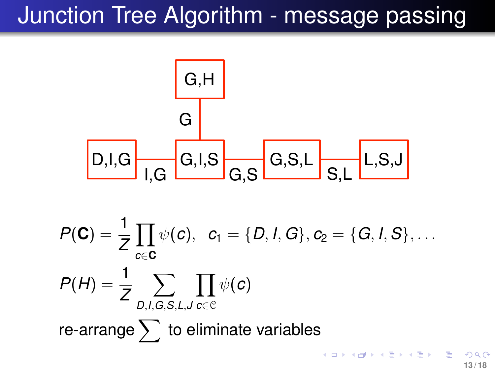# Junction Tree Algorithm - message passing



$$
P(\mathbf{C}) = \frac{1}{Z} \prod_{c \in \mathbf{C}} \psi(c), \quad c_1 = \{D, I, G\}, c_2 = \{G, I, S\}, \dots
$$

$$
P(H) = \frac{1}{Z} \sum_{D, I, G, S, L, J} \prod_{c \in C} \psi(c)
$$
  
re-arrange  $\sum$  to eliminate variables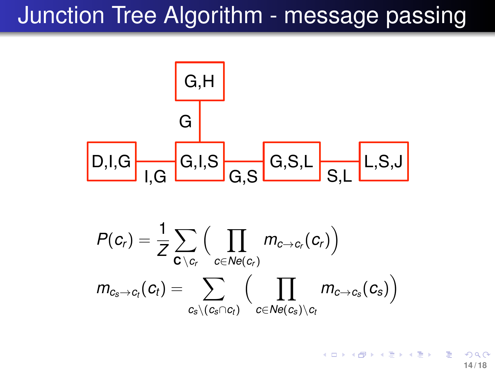### Junction Tree Algorithm - message passing



$$
\displaystyle\begin{aligned} &P(\textit{\textbf{c}}_{\textit{\textbf{r}}})=\frac{1}{Z}\sum_{\textit{\textbf{c}}\text{ } \backslash \textit{\textbf{c}}_{\textit{\textbf{r}}}}\Big(\prod_{c\in Ne(\textit{\textbf{c}}_{\textit{\textbf{r}}})}m_{c\rightarrow c_{\textit{\textbf{r}}}}(\textit{\textbf{c}}_{\textit{\textbf{r}}})\Big)\\ &m_{c_{\textit{\textbf{s}}}\rightarrow c_{\textit{\textbf{t}}}}(\textit{\textbf{c}}_{\textit{\textbf{t}}})=\sum_{c_{\textit{\textbf{s}}}\backslash (c_{\textit{\textbf{s}}}\cap c_{\textit{\textbf{t}}})}\Big(\prod_{c\in Ne(c_{\textit{\textbf{s}}})\backslash c_{\textit{\textbf{t}}}}m_{c\rightarrow c_{\textit{\textbf{s}}}}(c_{\textit{\textbf{s}}})\Big) \end{aligned}
$$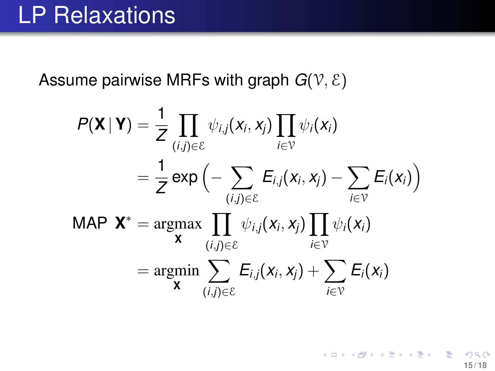### LP Relaxations

Assume pairwise MRFs with graph  $G(V, \mathcal{E})$ 

$$
P(\mathbf{X} | \mathbf{Y}) = \frac{1}{Z} \prod_{(i,j) \in \mathcal{E}} \psi_{i,j}(x_i, x_j) \prod_{i \in \mathcal{V}} \psi_i(x_i)
$$
  
\n
$$
= \frac{1}{Z} \exp \left(-\sum_{(i,j) \in \mathcal{E}} E_{i,j}(x_i, x_j) - \sum_{i \in \mathcal{V}} E_i(x_i)\right)
$$
  
\nMAP  $\mathbf{X}^*$  = argmax  $\prod_{(i,j) \in \mathcal{E}} \psi_{i,j}(x_i, x_j) \prod_{i \in \mathcal{V}} \psi_i(x_i)$   
\n
$$
= argmin \sum_{(i,j) \in \mathcal{E}} E_{i,j}(x_i, x_j) + \sum_{i \in \mathcal{V}} E_i(x_i)
$$

イロト 不優 トメ 差 トメ 差 トー **15 / 18**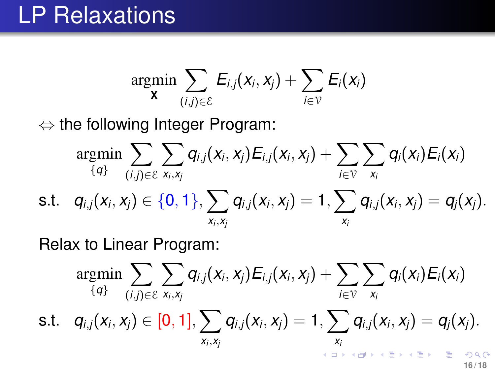### LP Relaxations

$$
\operatornamewithlimits{argmin}_{\mathbf{X}} \sum_{(i,j) \in \mathcal{E}} E_{i,j}(x_i,x_j) + \sum_{i \in \mathcal{V}} E_i(x_i)
$$

⇔ the following Integer Program:

$$
\operatornamewithlimits{argmin}_{\{q\}} \sum_{(i,j) \in \mathcal{E}} \sum_{\mathsf{x}_i,\mathsf{x}_j} q_{i,j}(x_i,x_j) E_{i,j}(x_i,x_j) + \sum_{i \in \mathcal{V}} \sum_{\mathsf{x}_i} q_i(x_i) E_i(x_i) \\ \text{s.t.} \quad q_{i,j}(x_i,x_j) \in \{0,1\}, \sum_{\mathsf{x}_i,\mathsf{x}_j} q_{i,j}(x_i,x_j) = 1, \sum_{\mathsf{x}_i} q_{i,j}(x_i,x_j) = q_j(x_j).
$$

Relax to Linear Program:

$$
\operatornamewithlimits{argmin}_{\{q\}} \sum_{(i,j) \in \mathcal{E}} \sum_{\mathsf{x}_i,\mathsf{x}_j} q_{i,j}(x_i,x_j) E_{i,j}(x_i,x_j) + \sum_{i \in \mathcal{V}} \sum_{x_i} q_i(x_i) E_i(x_i) \\ \text{s.t.} \quad q_{i,j}(x_i,x_j) \in [0,1], \sum_{\mathsf{x}_i,\mathsf{x}_j} q_{i,j}(x_i,x_j) = 1, \sum_{\mathsf{x}_i} q_{i,j}(x_i,x_j) = q_j(x_j).
$$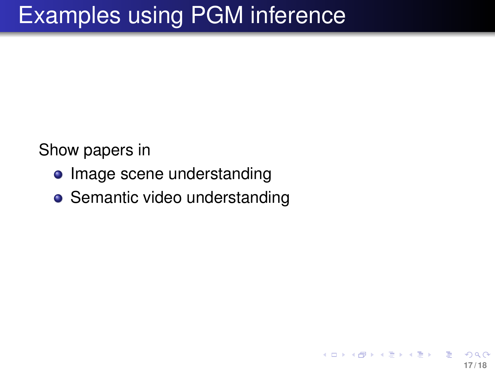Show papers in

- Image scene understanding
- <span id="page-16-0"></span>• Semantic video understanding